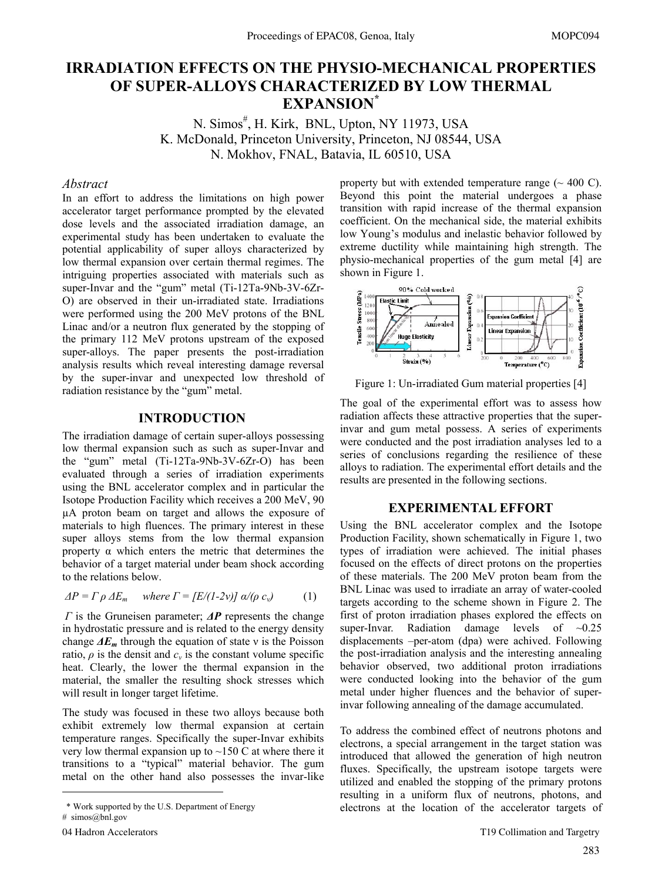# **IRRADIATION EFFECTS ON THE PHYSIO-MECHANICAL PROPERTIES OF SUPER-ALLOYS CHARACTERIZED BY LOW THERMAL EXPANSION\***

N. Simos<sup>#</sup>, H. Kirk, BNL, Upton, NY 11973, USA K. McDonald, Princeton University, Princeton, NJ 08544, USA N. Mokhov, FNAL, Batavia, IL 60510, USA

#### *Abstract*

In an effort to address the limitations on high power accelerator target performance prompted by the elevated dose levels and the associated irradiation damage, an experimental study has been undertaken to evaluate the potential applicability of super alloys characterized by low thermal expansion over certain thermal regimes. The intriguing properties associated with materials such as super-Invar and the "gum" metal (Ti-12Ta-9Nb-3V-6Zr-O) are observed in their un-irradiated state. Irradiations were performed using the 200 MeV protons of the BNL Linac and/or a neutron flux generated by the stopping of the primary 112 MeV protons upstream of the exposed super-alloys. The paper presents the post-irradiation analysis results which reveal interesting damage reversal by the super-invar and unexpected low threshold of radiation resistance by the "gum" metal.

## **INTRODUCTION**

The irradiation damage of certain super-alloys possessing low thermal expansion such as such as super-Invar and the "gum" metal (Ti-12Ta-9Nb-3V-6Zr-O) has been evaluated through a series of irradiation experiments using the BNL accelerator complex and in particular the Isotope Production Facility which receives a 200 MeV, 90 µA proton beam on target and allows the exposure of materials to high fluences. The primary interest in these super alloys stems from the low thermal expansion property α which enters the metric that determines the behavior of a target material under beam shock according to the relations below.

$$
\Delta P = \Gamma \rho \Delta E_m \quad \text{where } \Gamma = [E/(1-2\nu)] \, \alpha / (\rho \, c_v) \tag{1}
$$

*Γ* is the Gruneisen parameter; *ΔP* represents the change in hydrostatic pressure and is related to the energy density change  $\Delta E_m$  through the equation of state v is the Poisson ratio,  $\rho$  is the densit and  $c_v$  is the constant volume specific heat. Clearly, the lower the thermal expansion in the material, the smaller the resulting shock stresses which will result in longer target lifetime.

The study was focused in these two alloys because both exhibit extremely low thermal expansion at certain temperature ranges. Specifically the super-Invar exhibits very low thermal expansion up to  $\sim$ 150 C at where there it transitions to a "typical" material behavior. The gum metal on the other hand also possesses the invar-like

 $\overline{a}$ 

property but with extended temperature range  $(\sim 400 \text{ C})$ . Beyond this point the material undergoes a phase transition with rapid increase of the thermal expansion coefficient. On the mechanical side, the material exhibits low Young's modulus and inelastic behavior followed by extreme ductility while maintaining high strength. The physio-mechanical properties of the gum metal [4] are shown in Figure 1.



Figure 1: Un-irradiated Gum material properties [4]

The goal of the experimental effort was to assess how radiation affects these attractive properties that the superinvar and gum metal possess. A series of experiments were conducted and the post irradiation analyses led to a series of conclusions regarding the resilience of these alloys to radiation. The experimental effort details and the results are presented in the following sections.

### **EXPERIMENTAL EFFORT**

Using the BNL accelerator complex and the Isotope Production Facility, shown schematically in Figure 1, two types of irradiation were achieved. The initial phases focused on the effects of direct protons on the properties of these materials. The 200 MeV proton beam from the BNL Linac was used to irradiate an array of water-cooled targets according to the scheme shown in Figure 2. The first of proton irradiation phases explored the effects on super-Invar. Radiation damage levels of  $\sim 0.25$ displacements –per-atom (dpa) were achived. Following the post-irradiation analysis and the interesting annealing behavior observed, two additional proton irradiations were conducted looking into the behavior of the gum metal under higher fluences and the behavior of superinvar following annealing of the damage accumulated.

To address the combined effect of neutrons photons and electrons, a special arrangement in the target station was introduced that allowed the generation of high neutron fluxes. Specifically, the upstream isotope targets were utilized and enabled the stopping of the primary protons resulting in a uniform flux of neutrons, photons, and electrons at the location of the accelerator targets of

 <sup>\*</sup> Work supported by the U.S. Department of Energy

<sup>#</sup> simos@bnl.gov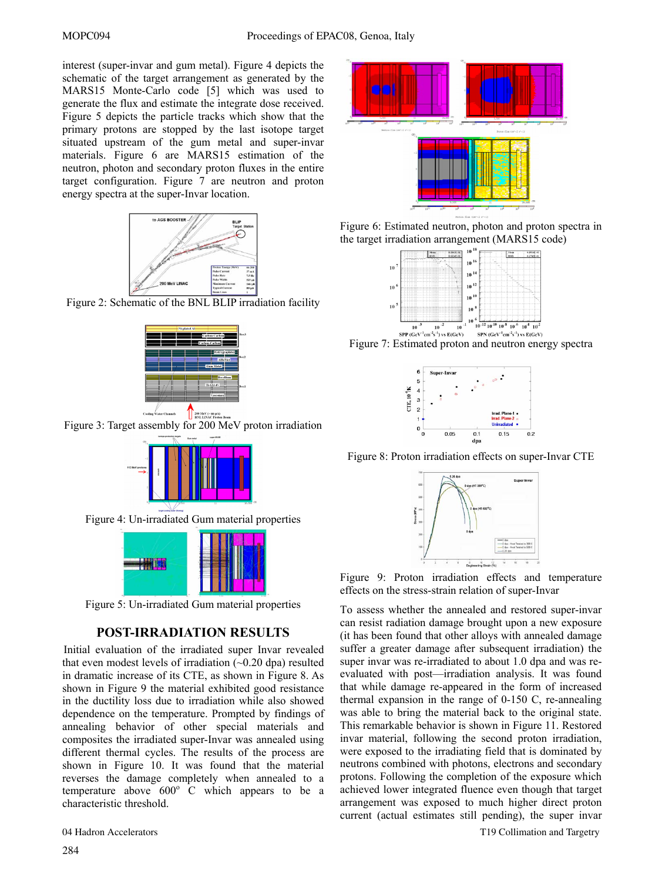interest (super-invar and gum metal). Figure 4 depicts the schematic of the target arrangement as generated by the MARS15 Monte-Carlo code [5] which was used to generate the flux and estimate the integrate dose received. Figure 5 depicts the particle tracks which show that the primary protons are stopped by the last isotope target situated upstream of the gum metal and super-invar materials. Figure 6 are MARS15 estimation of the neutron, photon and secondary proton fluxes in the entire target configuration. Figure 7 are neutron and proton energy spectra at the super-Invar location.



Figure 2: Schematic of the BNL BLIP irradiation facility



Figure 3: Target assembly for 200 MeV proton irradiation



Figure 5: Un-irradiated Gum material properties

# **POST-IRRADIATION RESULTS**

Initial evaluation of the irradiated super Invar revealed that even modest levels of irradiation  $(-0.20$  dpa) resulted in dramatic increase of its CTE, as shown in Figure 8. As shown in Figure 9 the material exhibited good resistance in the ductility loss due to irradiation while also showed dependence on the temperature. Prompted by findings of annealing behavior of other special materials and composites the irradiated super-Invar was annealed using different thermal cycles. The results of the process are shown in Figure 10. It was found that the material reverses the damage completely when annealed to a temperature above  $600^{\circ}$  C which appears to be a characteristic threshold.



Figure 6: Estimated neutron, photon and proton spectra in the target irradiation arrangement (MARS15 code)







Figure 8: Proton irradiation effects on super-Invar CTE



Figure 9: Proton irradiation effects and temperature effects on the stress-strain relation of super-Invar

To assess whether the annealed and restored super-invar can resist radiation damage brought upon a new exposure (it has been found that other alloys with annealed damage suffer a greater damage after subsequent irradiation) the super invar was re-irradiated to about 1.0 dpa and was reevaluated with post—irradiation analysis. It was found that while damage re-appeared in the form of increased thermal expansion in the range of 0-150 C, re-annealing was able to bring the material back to the original state. This remarkable behavior is shown in Figure 11. Restored invar material, following the second proton irradiation, were exposed to the irradiating field that is dominated by neutrons combined with photons, electrons and secondary protons. Following the completion of the exposure which achieved lower integrated fluence even though that target arrangement was exposed to much higher direct proton current (actual estimates still pending), the super invar